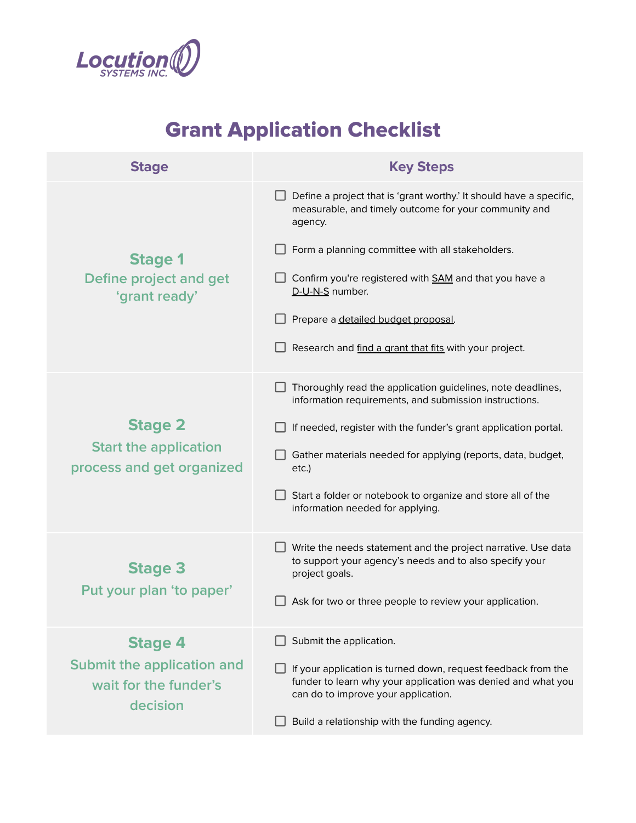

## Grant Application Checklist

| <b>Stage</b>                                                                      | <b>Key Steps</b>                                                                                                                                                                                                                                                                                                                                                                 |
|-----------------------------------------------------------------------------------|----------------------------------------------------------------------------------------------------------------------------------------------------------------------------------------------------------------------------------------------------------------------------------------------------------------------------------------------------------------------------------|
| <b>Stage 1</b><br>Define project and get<br>'grant ready'                         | Define a project that is 'grant worthy.' It should have a specific,<br>measurable, and timely outcome for your community and<br>agency.<br>Form a planning committee with all stakeholders.<br>$\Box$ Confirm you're registered with SAM and that you have a<br>D-U-N-S number.<br>Prepare a detailed budget proposal.<br>Research and find a grant that fits with your project. |
| <b>Stage 2</b><br><b>Start the application</b><br>process and get organized       | Thoroughly read the application guidelines, note deadlines,<br>information requirements, and submission instructions.<br>If needed, register with the funder's grant application portal.<br>Gather materials needed for applying (reports, data, budget,<br>etc.)<br>Start a folder or notebook to organize and store all of the<br>information needed for applying.             |
| <b>Stage 3</b><br>Put your plan 'to paper'                                        | Write the needs statement and the project narrative. Use data<br>to support your agency's needs and to also specify your<br>project goals.<br>Ask for two or three people to review your application.                                                                                                                                                                            |
| <b>Stage 4</b><br>Submit the application and<br>wait for the funder's<br>decision | Submit the application.<br>If your application is turned down, request feedback from the<br>funder to learn why your application was denied and what you<br>can do to improve your application.<br>Build a relationship with the funding agency.                                                                                                                                 |